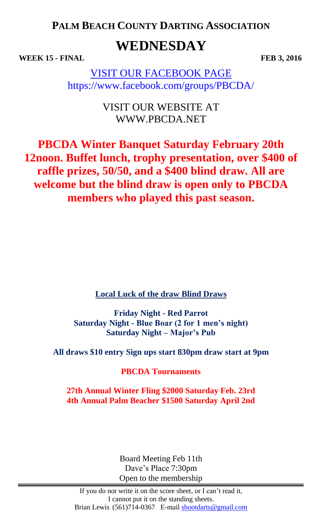**PALM BEACH COUNTY DARTING ASSOCIATION**

# **WEDNESDAY**

**WEEK 15 - FINAL FEB 3, 2016**

VISIT OUR FACEBOOK PAGE https://www.facebook.com/groups/PBCDA/

> VISIT OUR WEBSITE AT WWW.PBCDA.NET

**PBCDA Winter Banquet Saturday February 20th 12noon. Buffet lunch, trophy presentation, over \$400 of raffle prizes, 50/50, and a \$400 blind draw. All are welcome but the blind draw is open only to PBCDA members who played this past season.**

**Local Luck of the draw Blind Draws**

**Friday Night - Red Parrot Saturday Night - Blue Boar (2 for 1 men's night) Saturday Night – Major's Pub**

**All draws \$10 entry Sign ups start 830pm draw start at 9pm** 

**PBCDA Tournaments**

**27th Annual Winter Fling \$2000 Saturday Feb. 23rd 4th Annual Palm Beacher \$1500 Saturday April 2nd**

> Board Meeting Feb 11th Dave's Place 7:30pm Open to the membership

If you do not write it on the score sheet, or I can't read it, I cannot put it on the standing sheets. Brian Lewis (561)714-0367 E-mail [shootdarts@gmail.com](mailto:shootdarts@gmail.com)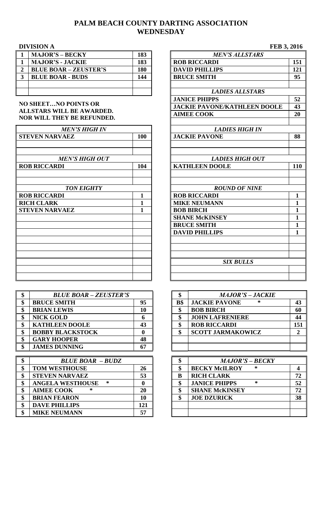# **PALM BEACH COUNTY DARTING ASSOCIATION WEDNESDAY**

### **DIVISION A FEB 3, 2016**

| <b>MAJOR'S - BECKY</b>       | 183 | <b>MEN'S ALLSTARS</b> |
|------------------------------|-----|-----------------------|
| <b>MAJOR'S - JACKIE</b>      | 183 | <b>ROB RICCARDI</b>   |
| <b>BLUE BOAR – ZEUSTER'S</b> | 180 | <b>DAVID PHILLIPS</b> |
| <b>BLUE BOAR - BUDS</b>      | 144 | <b>BRUCE SMITH</b>    |
|                              |     |                       |
|                              |     | LADIES ALLSTARS       |

#### **NO SHEET…NO POINTS OR ALLSTARS WILL BE AWARDED. NOR WILL THEY BE REFUNDED.**

| <b>MEN'S HIGH IN</b>  |     | <b>LADIES HIGH IN</b>  |              |
|-----------------------|-----|------------------------|--------------|
| <b>STEVEN NARVAEZ</b> | 100 | <b>JACKIE PAVONE</b>   | 88           |
|                       |     |                        |              |
| <b>MEN'S HIGH OUT</b> |     | <b>LADIES HIGH OUT</b> |              |
| <b>ROB RICCARDI</b>   | 104 | <b>KATHLEEN DOOLE</b>  | 110          |
|                       |     |                        |              |
| <b>TON EIGHTY</b>     |     | <b>ROUND OF NINE</b>   |              |
| <b>ROB RICCARDI</b>   |     | <b>ROB RICCARDI</b>    | $\mathbf{1}$ |
| <b>RICH CLARK</b>     |     | <b>MIKE NEUMANN</b>    | 1            |
| <b>STEVEN NARVAEZ</b> | 1   | <b>BOB BIRCH</b>       | $\mathbf{1}$ |
|                       |     | <b>SHANE McKINSEY</b>  | 1            |
|                       |     | <b>BRUCE SMITH</b>     | $\mathbf{1}$ |
|                       |     | <b>DAVID PHILLIPS</b>  | 1            |
|                       |     |                        |              |
|                       |     |                        |              |
|                       |     | <b>SIX BULLS</b>       |              |
|                       |     |                        |              |
|                       |     |                        |              |

| <b>BLUE BOAR - ZEUSTER'S</b> |    |     | <b>MAJOR'S - JACKIE</b>   |                |
|------------------------------|----|-----|---------------------------|----------------|
| <b>BRUCE SMITH</b>           | 95 | B\$ | <b>JACKIE PAVONE</b><br>∗ | $4^{\circ}$    |
| <b>BRIAN LEWIS</b>           | 10 |     | <b>BOB BIRCH</b>          | 60             |
| <b>NICK GOLD</b>             |    |     | <b>JOHN LAFRENIERE</b>    | $\overline{4}$ |
| <b>KATHLEEN DOOLE</b>        | 43 |     | <b>ROB RICCARDI</b>       | 15             |
| <b>BOBBY BLACKSTOCK</b>      |    |     | <b>SCOTT JARMAKOWICZ</b>  |                |
| <b>GARY HOOPER</b>           | 48 |     |                           |                |
| <b>JAMES DUNNING</b>         | 67 |     |                           |                |

| Φ  | <b>BLUE BOAR - BUDZ</b>      |     |  | <b>MAJOR'S - BECKY</b> |    |
|----|------------------------------|-----|--|------------------------|----|
| \$ | <b>TOM WESTHOUSE</b>         | 26  |  | <b>BECKY McILROY</b>   |    |
| ¢  | <b>STEVEN NARVAEZ</b>        | 53  |  | <b>RICH CLARK</b>      | 72 |
|    | <b>ANGELA WESTHOUSE</b><br>∗ |     |  | <b>JANICE PHIPPS</b>   | 52 |
|    | <b>AIMEE COOK</b>            | 20  |  | <b>SHANE McKINSEY</b>  | 72 |
| \$ | <b>BRIAN FEARON</b>          | 10  |  | <b>JOE DZURICK</b>     | 38 |
| \$ | <b>DAVE PHILLIPS</b>         | 121 |  |                        |    |
|    | <b>MIKE NEUMANN</b>          | 57  |  |                        |    |

| $\mathbf{1}$            | <b>MAJOR'S - BECKY</b>            | 183          | <b>MEN'S ALLSTARS</b>               |              |
|-------------------------|-----------------------------------|--------------|-------------------------------------|--------------|
| $\mathbf{1}$            | <b>MAJOR'S - JACKIE</b>           | 183          | <b>ROB RICCARDI</b>                 | 151          |
| $\overline{\mathbf{2}}$ | <b>BLUE BOAR - ZEUSTER'S</b>      | 180          | <b>DAVID PHILLIPS</b>               | 121          |
| $\overline{\mathbf{3}}$ | <b>BLUE BOAR - BUDS</b>           | 144          | <b>BRUCE SMITH</b>                  | 95           |
|                         |                                   |              |                                     |              |
|                         |                                   |              | <b>LADIES ALLSTARS</b>              |              |
|                         |                                   |              | <b>JANICE PHIPPS</b>                | 52           |
|                         | <b>NO SHEETNO POINTS OR</b>       |              | <b>JACKIE PAVONE/KATHLEEN DOOLE</b> | 43           |
|                         | <b>ALLSTARS WILL BE AWARDED.</b>  |              | <b>AIMEE COOK</b>                   | 20           |
|                         | <b>NOR WILL THEY BE REFUNDED.</b> |              |                                     |              |
|                         | <b>MEN'S HIGH IN</b>              |              | <b>LADIES HIGH IN</b>               |              |
|                         | <b>STEVEN NARVAEZ</b>             | 100          | <b>JACKIE PAVONE</b>                | 88           |
|                         |                                   |              |                                     |              |
|                         |                                   |              |                                     |              |
|                         | <b>MEN'S HIGH OUT</b>             |              | <b>LADIES HIGH OUT</b>              |              |
|                         | <b>ROB RICCARDI</b>               | 104          | <b>KATHLEEN DOOLE</b>               | 110          |
|                         |                                   |              |                                     |              |
|                         |                                   |              |                                     |              |
|                         | <b>TON EIGHTY</b>                 |              | <b>ROUND OF NINE</b>                |              |
|                         | <b>ROB RICCARDI</b>               | $\mathbf{1}$ | <b>ROB RICCARDI</b>                 | $\mathbf{1}$ |
|                         | <b>RICH CLARK</b>                 | 1            | <b>MIKE NEUMANN</b>                 | $\mathbf{1}$ |
|                         | <b>STEVEN NARVAEZ</b>             | $\mathbf{1}$ | <b>BOB BIRCH</b>                    | $\mathbf{1}$ |
|                         |                                   |              | <b>SHANE McKINSEY</b>               | $\mathbf{1}$ |
|                         |                                   |              | <b>BRUCE SMITH</b>                  | $\mathbf{1}$ |
|                         |                                   |              | <b>DAVID PHILLIPS</b>               | $\mathbf{1}$ |
|                         |                                   |              |                                     |              |
|                         |                                   |              |                                     |              |
|                         |                                   |              |                                     |              |
|                         |                                   |              | <b>SIX BULLS</b>                    |              |
|                         |                                   |              |                                     |              |
|                         |                                   |              |                                     |              |
|                         |                                   |              |                                     |              |

| ¢<br>Φ | <b>BLUE BOAR - ZEUSTER'S</b> |    |     | <b>MAJOR'S - JACKIE</b>   |     |
|--------|------------------------------|----|-----|---------------------------|-----|
| \$     | <b>BRUCE SMITH</b>           | 95 | B\$ | <b>JACKIE PAVONE</b><br>∗ | 43  |
| \$     | <b>BRIAN LEWIS</b>           | 10 |     | <b>BOB BIRCH</b>          | 60  |
| \$     | <b>NICK GOLD</b>             |    |     | <b>JOHN LAFRENIERE</b>    | 44  |
| \$     | <b>KATHLEEN DOOLE</b>        | 43 |     | <b>ROB RICCARDI</b>       | 151 |
| \$     | <b>BOBBY BLACKSTOCK</b>      |    |     | <b>SCOTT JARMAKOWICZ</b>  |     |
| \$     | <b>GARY HOOPER</b>           | 48 |     |                           |     |
| ¢      | <b>JAMES DUNNING</b>         | 67 |     |                           |     |

|   | <b>MAJOR'S - BECKY</b>         |    |
|---|--------------------------------|----|
|   | ∗<br><b>BECKY McILROY</b>      |    |
| B | <b>RICH CLARK</b>              | 72 |
|   | <b>JANICE PHIPPS</b><br>$\ast$ | 52 |
|   | <b>SHANE McKINSEY</b>          | 72 |
|   | <b>JOE DZURICK</b>             | 38 |
|   |                                |    |
|   |                                |    |